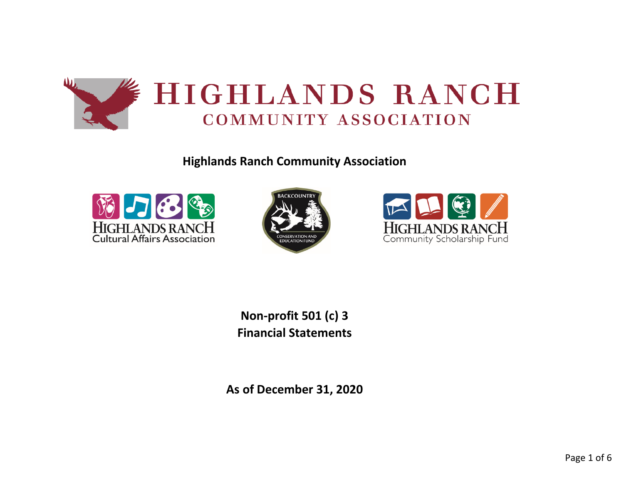

**Highlands Ranch Community Association**







**Non-profit 501 (c) 3 Financial Statements**

**As of December 31, 2020**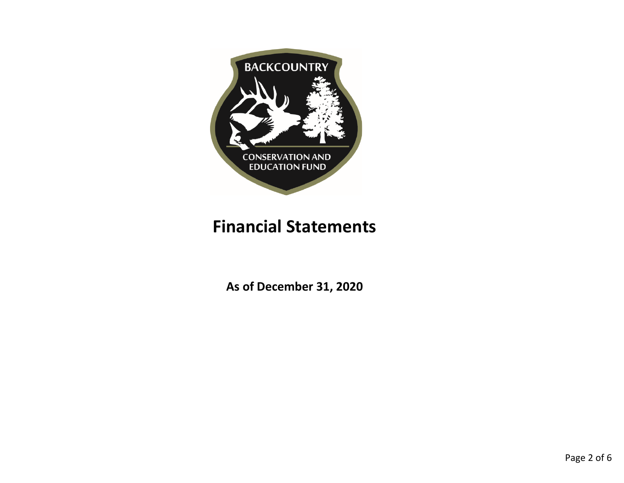

# **Financial Statements**

**As of December 31, 2020**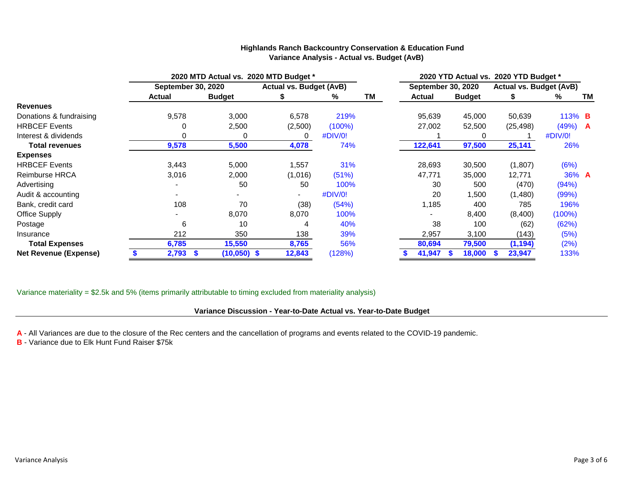|                              | 2020 MTD Actual vs. 2020 MTD Budget * |               |                                |             | 2020 YTD Actual vs. 2020 YTD Budget * |                           |               |                                |               |          |
|------------------------------|---------------------------------------|---------------|--------------------------------|-------------|---------------------------------------|---------------------------|---------------|--------------------------------|---------------|----------|
|                              | <b>September 30, 2020</b>             |               | <b>Actual vs. Budget (AvB)</b> |             |                                       | <b>September 30, 2020</b> |               | <b>Actual vs. Budget (AvB)</b> |               |          |
|                              | <b>Actual</b>                         | <b>Budget</b> |                                | %           | <b>TM</b>                             | <b>Actual</b>             | <b>Budget</b> |                                | %             | TM       |
| <b>Revenues</b>              |                                       |               |                                |             |                                       |                           |               |                                |               |          |
| Donations & fundraising      | 9,578                                 | 3,000         | 6,578                          | 219%        |                                       | 95,639                    | 45,000        | 50,639                         | 113% <b>B</b> |          |
| <b>HRBCEF Events</b>         | $\Omega$                              | 2,500         | (2,500)                        | $(100\%)$   |                                       | 27,002                    | 52,500        | (25, 498)                      | (49%)         | <b>A</b> |
| Interest & dividends         |                                       | 0             | 0                              | #DIV/0!     |                                       |                           | 0             |                                | #DIV/0!       |          |
| <b>Total revenues</b>        | 9,578                                 | 5,500         | 4,078                          | 74%         |                                       | 122,641                   | 97,500        | 25,141                         | 26%           |          |
| <b>Expenses</b>              |                                       |               |                                |             |                                       |                           |               |                                |               |          |
| <b>HRBCEF Events</b>         | 3,443                                 | 5,000         | 1,557                          | 31%         |                                       | 28,693                    | 30,500        | (1,807)                        | (6%)          |          |
| Reimburse HRCA               | 3,016                                 | 2,000         | (1,016)                        | (51%)       |                                       | 47,771                    | 35,000        | 12,771                         | 36% A         |          |
| Advertising                  |                                       | 50            | 50                             | 100%        |                                       | 30                        | 500           | (470)                          | (94%)         |          |
| Audit & accounting           |                                       |               |                                | $\#$ DIV/0! |                                       | 20                        | 1,500         | (1,480)                        | (99%)         |          |
| Bank, credit card            | 108                                   | 70            | (38)                           | (54%)       |                                       | 1,185                     | 400           | 785                            | 196%          |          |
| <b>Office Supply</b>         |                                       | 8,070         | 8,070                          | 100%        |                                       |                           | 8,400         | (8,400)                        | $(100\%)$     |          |
| Postage                      | 6                                     | 10            | 4                              | 40%         |                                       | 38                        | 100           | (62)                           | (62%)         |          |
| Insurance                    | 212                                   | 350           | 138                            | 39%         |                                       | 2,957                     | 3,100         | (143)                          | (5%)          |          |
| <b>Total Expenses</b>        | 6,785                                 | 15,550        | 8,765                          | 56%         |                                       | 80,694                    | 79,500        | (1, 194)                       | (2%)          |          |
| <b>Net Revenue (Expense)</b> | 2,793                                 | $(10,050)$ \$ | 12,843                         | (128%)      |                                       | 41,947                    | 18,000        | 23,947                         | 133%          |          |

#### **Highlands Ranch Backcountry Conservation & Education Fund Variance Analysis - Actual vs. Budget (AvB)**

Variance materiality = \$2.5k and 5% (items primarily attributable to timing excluded from materiality analysis)

## **Variance Discussion - Year-to-Date Actual vs. Year-to-Date Budget**

- **A** All Variances are due to the closure of the Rec centers and the cancellation of programs and events related to the COVID-19 pandemic.
- **B** Variance due to Elk Hunt Fund Raiser \$75k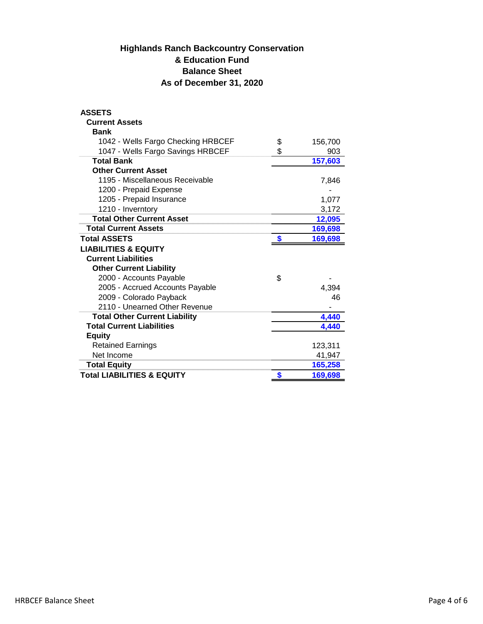## **Highlands Ranch Backcountry Conservation & Education Fund Balance Sheet As of December 31, 2020**

| <b>ASSETS</b>                        |     |         |
|--------------------------------------|-----|---------|
| <b>Current Assets</b>                |     |         |
| <b>Bank</b>                          |     |         |
| 1042 - Wells Fargo Checking HRBCEF   | \$  | 156,700 |
| 1047 - Wells Fargo Savings HRBCEF    | \$. | 903     |
| <b>Total Bank</b>                    |     | 157,603 |
| <b>Other Current Asset</b>           |     |         |
| 1195 - Miscellaneous Receivable      |     | 7,846   |
| 1200 - Prepaid Expense               |     |         |
| 1205 - Prepaid Insurance             |     | 1,077   |
| 1210 - Inverntory                    |     | 3,172   |
| <b>Total Other Current Asset</b>     |     | 12,095  |
| <b>Total Current Assets</b>          |     | 169,698 |
| <b>Total ASSETS</b>                  | S   | 169,698 |
| <b>LIABILITIES &amp; EQUITY</b>      |     |         |
| <b>Current Liabilities</b>           |     |         |
| <b>Other Current Liability</b>       |     |         |
| 2000 - Accounts Payable              | \$  |         |
| 2005 - Accrued Accounts Payable      |     | 4,394   |
|                                      |     |         |
| 2009 - Colorado Payback              |     | 46      |
| 2110 - Unearned Other Revenue        |     |         |
| <b>Total Other Current Liability</b> |     | 4,440   |
| <b>Total Current Liabilities</b>     |     | 4.440   |
| <b>Equity</b>                        |     |         |
| <b>Retained Earnings</b>             |     | 123,311 |
| Net Income                           |     | 41,947  |
| <b>Total Equity</b>                  |     | 165,258 |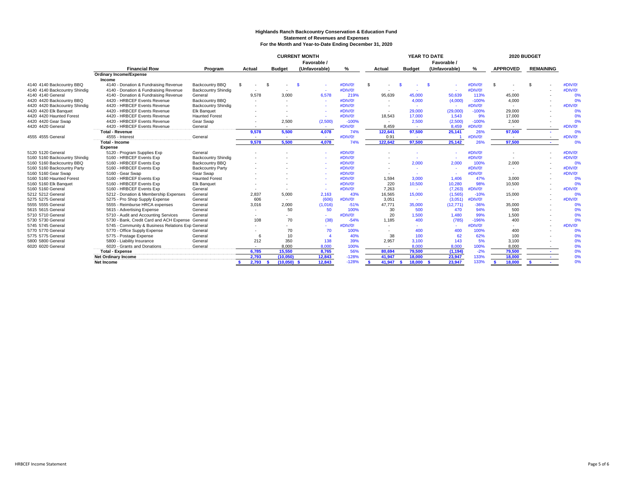## **Highlands Ranch Backcountry Conservation & Education Fund Statement of Revenues and Expenses For the Month and Year-to-Date Ending December 31, 2020**

|                               |                                                   |                          | <b>CURRENT MONTH</b><br>Favorable / |               |                | YEAR TO DATE<br>Favorable / |                    |               |               | 2020 BUDGET |                    |                          |         |
|-------------------------------|---------------------------------------------------|--------------------------|-------------------------------------|---------------|----------------|-----------------------------|--------------------|---------------|---------------|-------------|--------------------|--------------------------|---------|
|                               | <b>Financial Row</b>                              | Program                  | Actual                              | <b>Budget</b> | (Unfavorable)  | ℅                           | Actual             | <b>Budget</b> | (Unfavorable) | %           | <b>APPROVED</b>    | <b>REMAINING</b>         |         |
|                               | <b>Ordinary Income/Expense</b>                    |                          |                                     |               |                |                             |                    |               |               |             |                    |                          |         |
|                               | Income                                            |                          |                                     |               |                |                             |                    |               |               |             |                    |                          |         |
| 4140 4140 Backcountry BBQ     | 4140 - Donation & Fundraising Revenue             | Backcountry BBQ          | \$<br>S.                            |               |                | #DIV/0!                     | -S                 |               |               | #DIV/0!     | -\$                |                          | #DIV/0! |
| 4140 4140 Backcountry Shindig | 4140 - Donation & Fundraising Revenue             | Backcountry Shindig      |                                     |               | <b>COL</b>     | #DIV/0!                     |                    |               |               | #DIV/0!     |                    |                          | #DIV/0! |
| 4140 4140 General             | 4140 - Donation & Fundraising Revenue             | General                  | 9.578                               | 3.000         | 6,578          | 219%                        | 95,639             | 45.000        | 50,639        | 113%        | 45,000             |                          | 0%      |
| 4420 4420 Backcountry BBQ     | 4420 - HRBCEF Events Revenue                      | Backcountry BBQ          |                                     |               | $\sim$         | #DIV/0!                     |                    | 4,000         | (4,000)       | $-100%$     | 4,000              |                          | 0%      |
| 4420 4420 Backcountry Shindig | 4420 - HRBCEF Events Revenue                      | Backcountry Shindig      |                                     |               |                | #DIV/0!                     |                    | $\sim$        |               | #DIV/0!     |                    |                          | #DIV/0! |
| 4420 4420 Elk Banquet         | 4420 - HRBCEF Events Revenue                      | <b>Elk Banquet</b>       |                                     |               |                | #DIV/0!                     | $\sim$             | 29,000        | (29,000)      | $-100%$     | 29,000             |                          | 0%      |
| 4420 4420 Haunted Forest      | 4420 - HRBCEF Events Revenue                      | <b>Haunted Forest</b>    |                                     |               | $\sim$         | #DIV/0!                     | 18.543             | 17,000        | 1.543         | 9%          | 17,000             |                          | 0%      |
| 4420 4420 Gear Swap           | 4420 - HRBCEF Events Revenue                      | Gear Swap                |                                     | 2,500         | (2,500)        | $-100%$                     | $\sim$             | 2,500         | (2,500)       | $-100%$     | 2,500              |                          | 0%      |
| 4420 4420 General             | 4420 - HRBCEF Events Revenue                      | General                  |                                     | $\sim$        | <b>College</b> | #DIV/0!                     | 8.459              |               | 8,459         | #DIV/0!     |                    | $\sim$                   | #DIV/0! |
|                               | <b>Total - Revenue</b>                            |                          | 9,578                               | 5,500         | 4,078          | 74%                         | 122,641            | 97,500        | 25,141        | 26%         | 97,500             | $\overline{\phantom{a}}$ | 0%      |
| 4555 4555 Genera              | 4555 - Interest                                   | General                  |                                     | $\sim$        | $\sim$         | #DIV/0!                     | 0.91               |               |               | #DIV/0!     |                    |                          | #DIV/0! |
|                               | <b>Total - Income</b>                             |                          | 9,578                               | 5.500         | 4,078          | 74%                         | 122,642            | 97,500        | 25,142        | 26%         | 97,500             |                          | 0%      |
|                               | <b>Expense</b>                                    |                          |                                     |               |                |                             |                    |               |               |             |                    |                          |         |
| 5120 5120 General             | 5120 - Program Supplies Exp                       | General                  |                                     |               |                | #DIV/0!                     |                    |               |               | #DIV/0!     |                    |                          | #DIV/0! |
| 5160 5160 Backcountry Shindig | 5160 - HRBCEF Events Exp                          | Backcountry Shindig      |                                     |               |                | #DIV/0!                     |                    |               |               | #DIV/0!     |                    |                          | #DIV/0! |
| 5160 5160 Backcountry BBQ     | 5160 - HRBCEF Events Exp                          | Backcountry BBQ          |                                     |               |                | #DIV/0!                     |                    | 2,000         | 2.000         | 100%        | 2,000              |                          | 0%      |
| 5160 5160 Backcountry Party   | 5160 - HRBCEF Events Exp                          | <b>Backcountry Party</b> |                                     |               |                | #DIV/0!                     |                    | <b>.</b>      |               | #DIV/0!     |                    |                          | #DIV/0! |
| 5160 5160 Gear Swap           | 5160 - Gear Swap                                  | Gear Swap                |                                     |               |                | #DIV/0!                     |                    | <b>.</b>      |               | #DIV/0!     |                    |                          | #DIV/0! |
| 5160 5160 Haunted Forest      | 5160 - HRBCEF Events Exp                          | <b>Haunted Forest</b>    |                                     |               |                | #DIV/0!                     | 1,594              | 3.000         | 1,406         | 47%         | 3,000              |                          | 0%      |
| 5160 5160 Elk Banquet         | 5160 - HRBCEF Events Exp                          | <b>Elk Banquet</b>       |                                     |               | $\sim$         | #DIV/0!                     | 220                | 10,500        | 10.280        | 98%         | 10,500             |                          | 0%      |
| 5160 5160 General             | 5160 - HRBCEF Events Exp                          | General                  |                                     |               | $\sim$         | #DIV/0!                     | 7,263              | $\sim$        | (7.263)       | #DIV/0!     |                    |                          | #DIV/0! |
| 5212 5212 General             | 5212 - Donation & Membership Expenses             | General                  | 2,837                               | 5,000         | 2,163          | 43%                         | 16,565             | 15,000        | (1, 565)      | $-10%$      | 15,000             |                          | 0%      |
| 5275 5275 Genera              | 5275 - Pro Shop Supply Expense                    | General                  | 606                                 | $\sim$        | (606)          | #DIV/0!                     | 3,051              | $\sim$        | (3,051)       | #DIV/0!     |                    |                          | #DIV/0! |
| 5555 5555 General             | 5555 - Reimburse HRCA expenses                    | General                  | 3,016                               | 2.000         | (1,016)        | $-51%$                      | 47.771             | 35,000        | (12, 771)     | $-36%$      | 35,000             |                          | 0%      |
| 5615 5615 General             | 5615 - Advertising Expense                        | General                  |                                     | 50            | 50             | 100%                        | 30                 | 500           | 470           | 94%         | 500                |                          | 0%      |
| 5710 5710 Genera              | 5710 - Audit and Accounting Services              | General                  |                                     |               | $\sim$         | #DIV/0!                     | 20                 | 1,500         | 1,480         | 99%         | 1,500              |                          | 0%      |
| 5730 5730 General             | 5730 - Bank, Credit Card and ACH Expense General  |                          | 108                                 | 70            | (38)           | $-54%$                      | 1.185              | 400           | (785)         | $-196%$     | 400                |                          | 0%      |
| 5745 5745 Genera              | 5745 - Community & Business Relations Exp General |                          |                                     |               |                | #DIV/0!                     |                    |               | $\sim$        | #DIV/0!     |                    |                          | #DIV/0! |
| 5770 5770 General             | 5770 - Office Supply Expense                      | General                  |                                     | 70            | 70             | 100%                        |                    | 400           | 400           | 100%        | 400                |                          | 0%      |
| 5775 5775 General             | 5775 - Postage Expense                            | General                  | 6                                   | 10            |                | 40%                         | 38                 | 100           | 62            | 62%         | 100                |                          | 0%      |
| 5800 5800 General             | 5800 - Liability Insurance                        | General                  | 212                                 | 350           | 138            | 39%                         | 2,957              | 3,100         | 143           | 5%          | 3,100              |                          | 0%      |
| 6020 6020 General             | 6020 - Grants and Donations                       | General                  |                                     | 8.000         | 8,000          | 100%                        |                    | 8,000         | 8,000         | 100%        | 8.000              |                          | 0%      |
|                               | <b>Total - Expense</b>                            |                          | 6,785                               | 15,550        | 8,765          | 56%                         | 80,694             | 79,500        | (1, 194)      | $-2%$       | 79,500             |                          | 0%      |
|                               | <b>Net Ordinary Income</b>                        |                          | 2,793                               | (10, 050)     | 12,843         | $-128%$                     | 41,947             | 18,000        | 23,947        | 133%        | 18,000             |                          | 0%      |
|                               | Net Income                                        |                          | $2,793$ \$                          | (10,050)      | 12,843         | $-128%$                     | 41,947<br><b>S</b> | 18,000        | 23,947        | 133%        | 18,000<br><b>S</b> | <b>S</b>                 | 0%      |